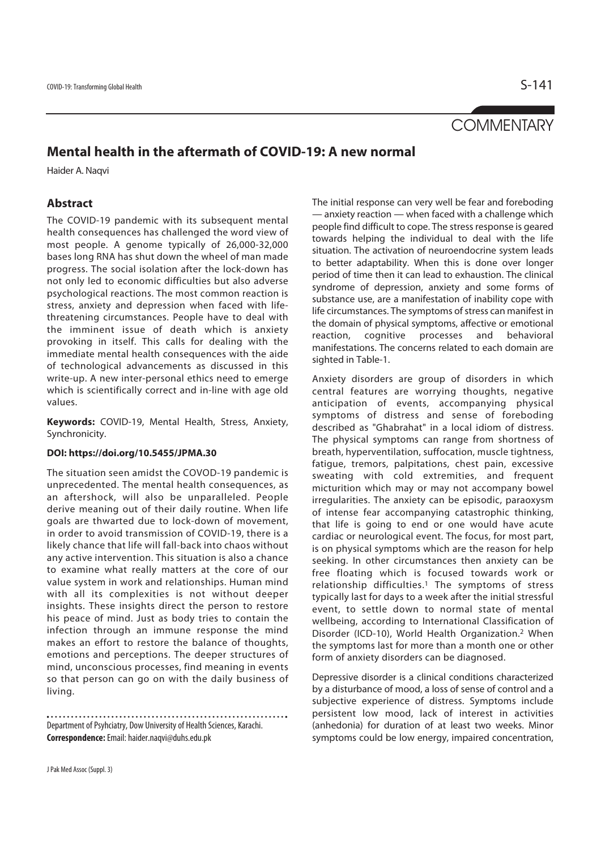# **COMMENTARY**

# **Mental health in the aftermath of COVID-19: A new normal**

Haider A. Naqvi

# **Abstract**

The COVID-19 pandemic with its subsequent mental health consequences has challenged the word view of most people. A genome typically of 26,000-32,000 bases long RNA has shut down the wheel of man made progress. The social isolation after the lock-down has not only led to economic difficulties but also adverse psychological reactions. The most common reaction is stress, anxiety and depression when faced with lifethreatening circumstances. People have to deal with the imminent issue of death which is anxiety provoking in itself. This calls for dealing with the immediate mental health consequences with the aide of technological advancements as discussed in this write-up. A new inter-personal ethics need to emerge which is scientifically correct and in-line with age old values.

**Keywords:** COVID-19, Mental Health, Stress, Anxiety, Synchronicity.

## **DOI: https://doi.org/10.5455/JPMA.30**

The situation seen amidst the COVOD-19 pandemic is unprecedented. The mental health consequences, as an aftershock, will also be unparalleled. People derive meaning out of their daily routine. When life goals are thwarted due to lock-down of movement, in order to avoid transmission of COVID-19, there is a likely chance that life will fall-back into chaos without any active intervention. This situation is also a chance to examine what really matters at the core of our value system in work and relationships. Human mind with all its complexities is not without deeper insights. These insights direct the person to restore his peace of mind. Just as body tries to contain the infection through an immune response the mind makes an effort to restore the balance of thoughts, emotions and perceptions. The deeper structures of mind, unconscious processes, find meaning in events so that person can go on with the daily business of living.

Department of Psyhciatry, Dow University of Health Sciences, Karachi. **Correspondence:** Email: haider.naqvi@duhs.edu.pk

The initial response can very well be fear and foreboding — anxiety reaction — when faced with a challenge which people find difficult to cope. The stress response is geared towards helping the individual to deal with the life situation. The activation of neuroendocrine system leads to better adaptability. When this is done over longer period of time then it can lead to exhaustion. The clinical syndrome of depression, anxiety and some forms of substance use, are a manifestation of inability cope with life circumstances. The symptoms of stress can manifest in the domain of physical symptoms, affective or emotional reaction, cognitive processes and behavioral manifestations. The concerns related to each domain are sighted in Table-1.

Anxiety disorders are group of disorders in which central features are worrying thoughts, negative anticipation of events, accompanying physical symptoms of distress and sense of foreboding described as "Ghabrahat" in a local idiom of distress. The physical symptoms can range from shortness of breath, hyperventilation, suffocation, muscle tightness, fatigue, tremors, palpitations, chest pain, excessive sweating with cold extremities, and frequent micturition which may or may not accompany bowel irregularities. The anxiety can be episodic, paraoxysm of intense fear accompanying catastrophic thinking, that life is going to end or one would have acute cardiac or neurological event. The focus, for most part, is on physical symptoms which are the reason for help seeking. In other circumstances then anxiety can be free floating which is focused towards work or relationship difficulties.1 The symptoms of stress typically last for days to a week after the initial stressful event, to settle down to normal state of mental wellbeing, according to International Classification of Disorder (ICD-10), World Health Organization.2 When the symptoms last for more than a month one or other form of anxiety disorders can be diagnosed.

Depressive disorder is a clinical conditions characterized by a disturbance of mood, a loss of sense of control and a subjective experience of distress. Symptoms include persistent low mood, lack of interest in activities (anhedonia) for duration of at least two weeks. Minor symptoms could be low energy, impaired concentration,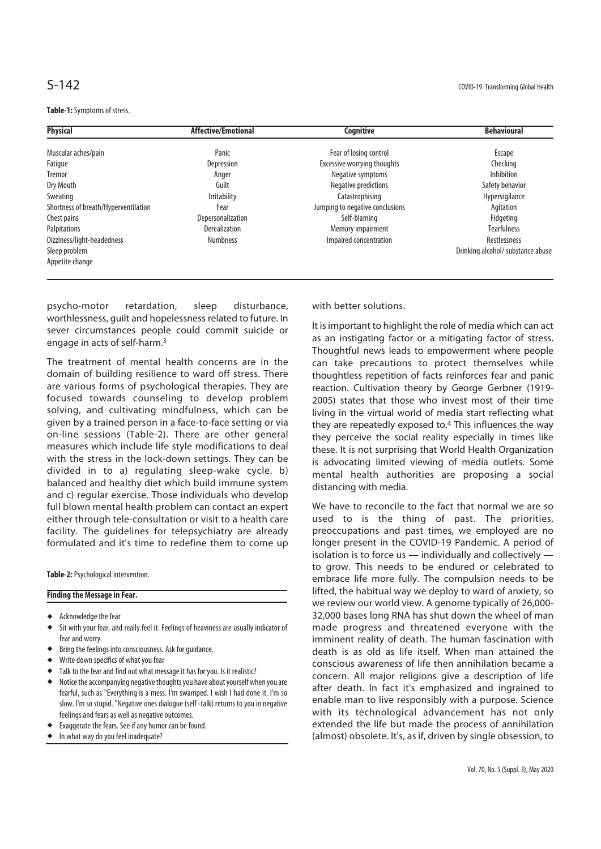**Table-1:** Symptoms of stress.

| <b>Physical</b>                      | <b>Affective/Emotional</b> | <b>Cognitive</b>                | <b>Behavioural</b>                |
|--------------------------------------|----------------------------|---------------------------------|-----------------------------------|
| Muscular aches/pain                  | Panic                      | Fear of losing control          | Escape                            |
| Fatigue                              | Depression                 | Excessive worrying thoughts     | Checking                          |
| Tremor                               | Anger                      | Negative symptoms               | Inhibition                        |
| Dry Mouth                            | Guilt                      | Negative predictions            | Safety behavior                   |
| Sweating                             | <b>Irritability</b>        | Catastrophising                 | Hypervigilance                    |
| Shortness of breath/Hyperventilation | Fear                       | Jumping to negative conclusions | Agitation                         |
| Chest pains                          | Depersonalization          | Self-blaming                    | Fidgeting                         |
| Palpitations                         | <b>Derealization</b>       | Memory impairment               | <b>Tearfulness</b>                |
| Dizziness/light-headedness           | <b>Numbness</b>            | Impaired concentration          | Restlessness                      |
| Sleep problem                        |                            |                                 | Drinking alcohol/ substance abuse |
| Appetite change                      |                            |                                 |                                   |
|                                      |                            |                                 |                                   |

psycho-motor retardation, sleep disturbance, worthlessness, guilt and hopelessness related to future. In sever circumstances people could commit suicide or engage in acts of self-harm.3

The treatment of mental health concerns are in the domain of building resilience to ward off stress. There are various forms of psychological therapies. They are focused towards counseling to develop problem solving, and cultivating mindfulness, which can be given by a trained person in a face-to-face setting or via on-line sessions (Table-2). There are other general measures which include life style modifications to deal with the stress in the lock-down settings. They can be divided in to a) regulating sleep-wake cycle. b) balanced and healthy diet which build immune system and c) regular exercise. Those individuals who develop full blown mental health problem can contact an expert either through tele-consultation or visit to a health care facility. The guidelines for telepsychiatry are already formulated and it's time to redefine them to come up

**Table-2:** Psychological intervention.

## **Finding the Message in Fear.**

- Acknowledge the fear
- Sit with your fear, and really feel it. Feelings of heaviness are usually indicator of fear and worry.
- Bring the feelings into consciousness. Ask for guidance.
- Write down specifics of what you fear
- Talk to the fear and find out what message it has for you. Is it realistic?
- Notice the accompanying negative thoughts you have about yourself when you are fearful, such as "Everything is a mess. I'm swamped. I wish I had done it. I'm so slow. I'm so stupid. "Negative ones dialogue (self -talk) returns to you in negative feelings and fears as well as negative outcomes.
- Exaggerate the fears. See if any humor can be found.
- In what way do you feel inadequate?

with better solutions.

It is important to highlight the role of media which can act as an instigating factor or a mitigating factor of stress. Thoughtful news leads to empowerment where people can take precautions to protect themselves while thoughtless repetition of facts reinforces fear and panic reaction. Cultivation theory by George Gerbner (1919- 2005) states that those who invest most of their time living in the virtual world of media start reflecting what they are repeatedly exposed to.4 This influences the way they perceive the social reality especially in times like these. It is not surprising that World Health Organization is advocating limited viewing of media outlets. Some mental health authorities are proposing a social distancing with media.

We have to reconcile to the fact that normal we are so used to is the thing of past. The priorities, preoccupations and past times, we employed are no longer present in the COVID-19 Pandemic. A period of isolation is to force us — individually and collectively to grow. This needs to be endured or celebrated to embrace life more fully. The compulsion needs to be lifted, the habitual way we deploy to ward of anxiety, so we review our world view. A genome typically of 26,000- 32,000 bases long RNA has shut down the wheel of man made progress and threatened everyone with the imminent reality of death. The human fascination with death is as old as life itself. When man attained the conscious awareness of life then annihilation became a concern. All major religions give a description of life after death. In fact it's emphasized and ingrained to enable man to live responsibly with a purpose. Science with its technological advancement has not only extended the life but made the process of annihilation (almost) obsolete. It's, as if, driven by single obsession, to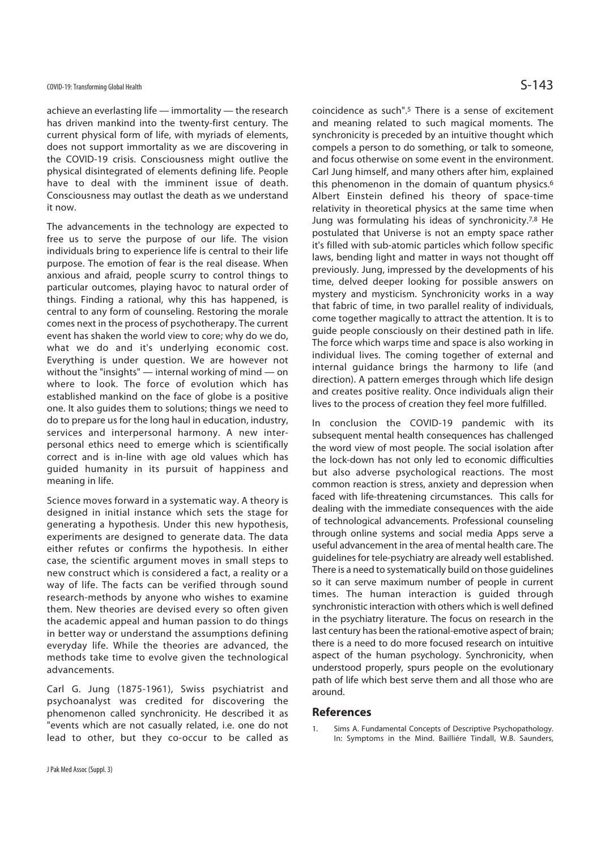achieve an everlasting life — immortality — the research has driven mankind into the twenty-first century. The current physical form of life, with myriads of elements, does not support immortality as we are discovering in the COVID-19 crisis. Consciousness might outlive the physical disintegrated of elements defining life. People have to deal with the imminent issue of death. Consciousness may outlast the death as we understand it now.

The advancements in the technology are expected to free us to serve the purpose of our life. The vision individuals bring to experience life is central to their life purpose. The emotion of fear is the real disease. When anxious and afraid, people scurry to control things to particular outcomes, playing havoc to natural order of things. Finding a rational, why this has happened, is central to any form of counseling. Restoring the morale comes next in the process of psychotherapy. The current event has shaken the world view to core; why do we do, what we do and it's underlying economic cost. Everything is under question. We are however not without the "insights" — internal working of mind — on where to look. The force of evolution which has established mankind on the face of globe is a positive one. It also guides them to solutions; things we need to do to prepare us for the long haul in education, industry, services and interpersonal harmony. A new interpersonal ethics need to emerge which is scientifically correct and is in-line with age old values which has guided humanity in its pursuit of happiness and meaning in life.

Science moves forward in a systematic way. A theory is designed in initial instance which sets the stage for generating a hypothesis. Under this new hypothesis, experiments are designed to generate data. The data either refutes or confirms the hypothesis. In either case, the scientific argument moves in small steps to new construct which is considered a fact, a reality or a way of life. The facts can be verified through sound research-methods by anyone who wishes to examine them. New theories are devised every so often given the academic appeal and human passion to do things in better way or understand the assumptions defining everyday life. While the theories are advanced, the methods take time to evolve given the technological advancements.

Carl G. Jung (1875-1961), Swiss psychiatrist and psychoanalyst was credited for discovering the phenomenon called synchronicity. He described it as "events which are not casually related, i.e. one do not lead to other, but they co-occur to be called as coincidence as such".5 There is a sense of excitement and meaning related to such magical moments. The synchronicity is preceded by an intuitive thought which compels a person to do something, or talk to someone, and focus otherwise on some event in the environment. Carl Jung himself, and many others after him, explained this phenomenon in the domain of quantum physics.<sup>6</sup> Albert Einstein defined his theory of space-time relativity in theoretical physics at the same time when Jung was formulating his ideas of synchronicity.7,8 He postulated that Universe is not an empty space rather it's filled with sub-atomic particles which follow specific laws, bending light and matter in ways not thought off previously. Jung, impressed by the developments of his time, delved deeper looking for possible answers on mystery and mysticism. Synchronicity works in a way that fabric of time, in two parallel reality of individuals, come together magically to attract the attention. It is to guide people consciously on their destined path in life. The force which warps time and space is also working in individual lives. The coming together of external and internal guidance brings the harmony to life (and direction). A pattern emerges through which life design and creates positive reality. Once individuals align their lives to the process of creation they feel more fulfilled.

In conclusion the COVID-19 pandemic with its subsequent mental health consequences has challenged the word view of most people. The social isolation after the lock-down has not only led to economic difficulties but also adverse psychological reactions. The most common reaction is stress, anxiety and depression when faced with life-threatening circumstances. This calls for dealing with the immediate consequences with the aide of technological advancements. Professional counseling through online systems and social media Apps serve a useful advancement in the area of mental health care. The guidelines for tele-psychiatry are already well established. There is a need to systematically build on those guidelines so it can serve maximum number of people in current times. The human interaction is guided through synchronistic interaction with others which is well defined in the psychiatry literature. The focus on research in the last century has been the rational-emotive aspect of brain; there is a need to do more focused research on intuitive aspect of the human psychology. Synchronicity, when understood properly, spurs people on the evolutionary path of life which best serve them and all those who are around.

### **References**

1. Sims A. Fundamental Concepts of Descriptive Psychopathology. In: Symptoms in the Mind. Bailliére Tindall, W.B. Saunders,